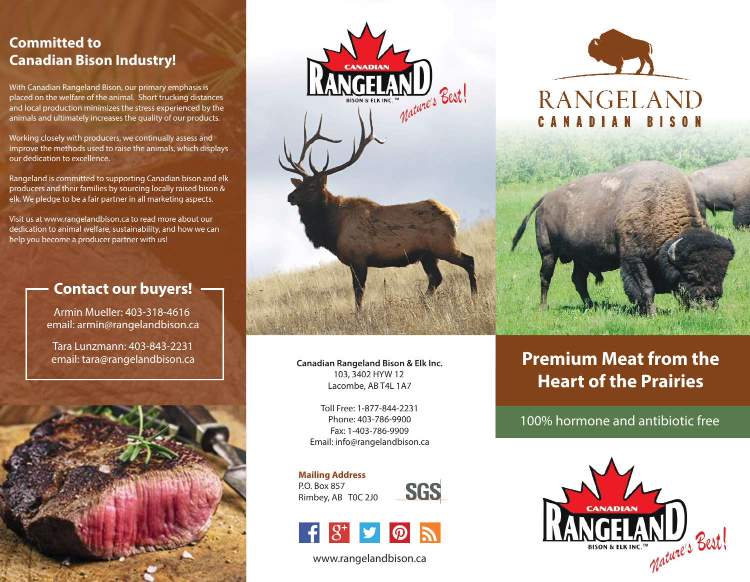## **Committed to Canadian Bison Industry!**

With Canadian Rangeland Bison, our primary emphasis is placed on the welfare of the animal. Short trucking distances and local production minimizes the stress experienced by the animals and ultimately increases the quality of our products.

Working closely with producers, we continually assess and improve the methods used to raise the animals, which displays our dedication to excellence.

Rangeland is committed to supporting Canadian bison and elk producers and their families by sourcing locally raised bison & elk. We pledge to be a fair partner in all marketing aspects.

Visit us at www.rangelandbison.ca to read more about our dedication to animal welfare, sustainability, and how we can help you become a producer partner with us!

### **Contact our buyers!**

Armin Mueller: 403-318-4616 email: armin@rangelandbison.ca

Tara Lunzmann: 403-843-2231 email: tara@rangelandbison.ca





**Canadian Rangeland Bison & Elk Inc.** 103, 3402 HYW 12 Lacombe, AB T4L 1A7

Toll Free: 1-877-844-2231 Phone: 403-786-9900 Fax: 1-403-786-9909 Email: info@rangelandbison.ca

**Mailing Address** P.O. Box 857 Rimbey, AB T0C 2J0





www.rangelandbison.ca

# **Premium Meat from the Heart of the Prairies**

100% hormone and antibiotic free